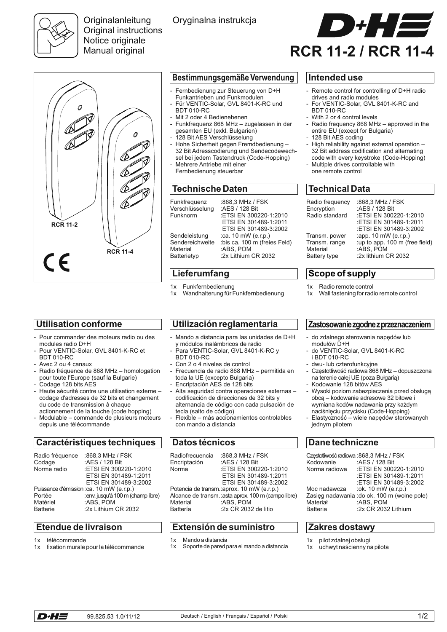

**Originalanleitung** Original instructions Notice originale Manual original

Oryginalna instrukcja



# 0 **RCR 11-2 RCR 11-4**  $\epsilon$

#### **Bestimmungsgemäße Verwendung Intended use**

- Fernbedienung zur Steuerung von D+H Funkantrieben und Funkmodulen Für VENTIC-Solar, GVL 8401-K-RC und
- BDT 010-RC
- Mit 2 oder 4 Bedienebenen
- Funkfrequenz 868 MHz zugelassen in der gesamten EU (exkl. Bulgarien)
- 128 Bit AES Verschlüsselung
- Hohe Sicherheit gegen Fremdbedienung 32 Bit Adresscodierung und Sendecodewechsel bei jedem Tastendruck (Code-Hopping)
- Mehrere Antriebe mit einer Fernbedienung steuerbar

# **Technische Daten**

| Funkfrequenz<br>Verschlüsselung<br>Funknorm | :868,3 MHz / FSK<br>: AES / 128 Bit<br>:ETSI EN 300220-1:2010<br>ETSI EN 301489-1:2011<br>ETSI EN 301489-3:2002 |
|---------------------------------------------|-----------------------------------------------------------------------------------------------------------------|
| Sendeleistung                               | :ca. 10 mW (e.r.p.)                                                                                             |
| Sendereichweite                             | :bis ca. 100 m (freies Feld)                                                                                    |
| Material                                    | :ABS, POM                                                                                                       |
| Batterietyp                                 | :2x Lithium CR 2032                                                                                             |

# **Lieferumfang**

- 1x Funkfernbedienung
- 1x Wandhalterung für Funkfernbedienung

# **Utilisation conforme**

- Pour commander des moteurs radio ou des modules radio D+H
- Pour VENTIC-Solar, GVL 8401-K-RC et BDT 010-RC
- Avec 2 ou 4 canaux
- Radio fréquence de 868 MHz homologation pour toute l'Europe (sauf la Bulgarie)
- Codage 128 bits AES
- Haute sécurité contre une utilisation externe codage d'adresses de 32 bits et changement du code de transmission à chaque actionnement de la touche (code hopping)
- Modulable commande de plusieurs moteurs depuis une télécommande

### **Caractéristiques techniques**

| Radio fréquence<br>Codage<br>Norme radio | :868,3 MHz / FSK<br>: AES / 128 Bit<br>:ETSI EN 300220-1:2010<br>ETSI EN 301489-1:2011<br>ETSI EN 301489-3:2002     |
|------------------------------------------|---------------------------------------------------------------------------------------------------------------------|
| Portée<br>Matériel<br><b>Batterie</b>    | Puissance d'émission : ca. 10 mW (e.r.p.)<br>: env. jusqu'à 100 m (champ libre)<br>:ABS, POM<br>:2x Lithium CR 2032 |

#### **Etendue de livraison**

1x télécommande

D+H=

1x fixation murale pour la télécommande

### **Utilización reglamentaria**

- Mando a distancia para las unidades de D+H y módulos inalámbricos de radio
- Para VENTIC-Solar, GVL 8401-K-RC y BDT 010-RC
- Con 2 o 4 niveles de control
- Frecuencia de radio 868 MHz permitida en toda la UE (excepto Bulgaria)
- Encriptación AES de 128 bits
- Alta seguridad contra operaciones externas codificación de direcciones de 32 bits y alternancia de código con cada pulsación de tecla (salto de código)
- Flexible más accionamientos controlables con mando a distancia

### **Datos técnicos**

| Radiofrecuencia                                     | :868,3 MHz / FSK                           |  |
|-----------------------------------------------------|--------------------------------------------|--|
| Encriptación                                        | :AES / 128 Bit                             |  |
| Norma                                               | :ETSI EN 300220-1:2010                     |  |
|                                                     | ETSI EN 301489-1:2011                      |  |
|                                                     | ETSI EN 301489-3:2002                      |  |
|                                                     | Potencia de transm.: aprox. 10 mW (e.r.p.) |  |
| Alcance de transm.: asta aprox. 100 m (campo libre) |                                            |  |
| Material                                            | :ABS. POM                                  |  |
| <b>Battería</b>                                     | :2x CR 2032 de litio                       |  |
|                                                     |                                            |  |

# **Extensión de suministro**

- 1x Mando a distancia
- 1x Soporte de pared para el mando a distancia

- Remote control for controlling of D+H radio drives and radio modules
- For VENTIC-Solar, GVL 8401-K-RC and BDT 010-RC
- With 2 or 4 control levels
- Radio frequency 868 MHz approved in the entire EU (except for Bulgaria)
- 128 Bit AES coding
- High reliability against external operation -32 Bit address codification and alternating code with every keystroke (Code-Hopping)
- Multiple drives controllable with one remote control

# **Technical Data**

| Radio frequency<br>Encryption<br>Radio standard | :868,3 MHz / FSK<br>:AES / 128 Bit<br>:ETSI EN 300220-1:2010<br>:ETSI EN 301489-1:2011<br>:ETSI EN 301489-3:2002 |
|-------------------------------------------------|------------------------------------------------------------------------------------------------------------------|
| Transm. power                                   | :app. 10 mW (e.r.p.)                                                                                             |
| Transm. range                                   | :up to app. 100 m (free field)                                                                                   |
| Material                                        | :ABS, POM                                                                                                        |
| Battery type                                    | :2x lithium CR 2032                                                                                              |

# **Scope of supply**

- 1x Radio remote control
- 1x Wall fastening for radio remote control

#### **Zastosowaniezgodnezprzeznaczeniem**

- do zdalnego sterowania nap ędów lub modułów D+H
- do VENTIC-Solar, GVL 8401-K-RC i BDT 010-RC
- dwu- lub czterofunkcyjne
- - Częstotliwość radiowa 868 MHz dopuszczona na terenie całej UE (poza Bułgarią)
- Kodowanie 128 bitów AES
- Wysoki poziom zabezpieczenia przed obsługą obcą – kodowanie adresowe 32 bitowe i wymiana kodów nadawania przy każdym naciśnięciu przycisku (Code-Hopping)
- Elastyczność wiele napędów sterowanych jednym pilotem

## **Dane techniczne**

| Częstotliwość radiowa: 868,3 MHz / FSK<br>Kodowanie | :AES / 128 Bit                               |
|-----------------------------------------------------|----------------------------------------------|
| Norma radiowa                                       | :ETSI EN 300220-1:2010                       |
|                                                     | :ETSI EN 301489-1:2011                       |
|                                                     |                                              |
|                                                     | :ETSI EN 301489-3:2002                       |
| Moc nadawcza                                        | :ok. 10 mW (e.r.p.)                          |
|                                                     | Zasięg nadawania : do ok. 100 m (wolne pole) |
| Materiał                                            | :ABS, POM                                    |
| Batteria                                            | :2x CR 2032 Lithium                          |
|                                                     |                                              |

#### **Zakres dostawy**

- 1x pilot zdalnej obsługi
- 1x uchwyt naścienny na pilota